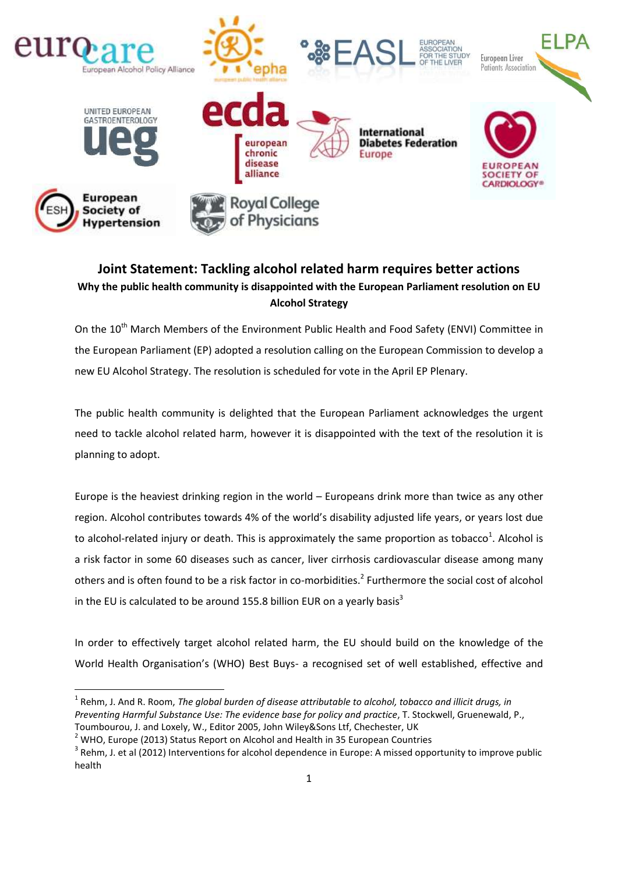

## **Joint Statement: Tackling alcohol related harm requires better actions Why the public health community is disappointed with the European Parliament resolution on EU Alcohol Strategy**

On the 10<sup>th</sup> March Members of the Environment Public Health and Food Safety (ENVI) Committee in the European Parliament (EP) adopted a resolution calling on the European Commission to develop a new EU Alcohol Strategy. The resolution is scheduled for vote in the April EP Plenary.

The public health community is delighted that the European Parliament acknowledges the urgent need to tackle alcohol related harm, however it is disappointed with the text of the resolution it is planning to adopt.

Europe is the heaviest drinking region in the world – Europeans drink more than twice as any other region. Alcohol contributes towards 4% of the world's disability adjusted life years, or years lost due to alcohol-related injury or death. This is approximately the same proportion as tobacco<sup>1</sup>. Alcohol is a risk factor in some 60 diseases such as cancer, liver cirrhosis cardiovascular disease among many others and is often found to be a risk factor in co-morbidities.<sup>2</sup> Furthermore the social cost of alcohol in the EU is calculated to be around 155.8 billion EUR on a yearly basis<sup>3</sup>

In order to effectively target alcohol related harm, the EU should build on the knowledge of the World Health Organisation's (WHO) Best Buys- a recognised set of well established, effective and

1

 $^{\text{1}}$  Rehm, J. And R. Room, *The global burden of disease attributable to alcohol, tobacco and illicit drugs, in Preventing Harmful Substance Use: The evidence base for policy and practice*, T. Stockwell, Gruenewald, P., Toumbourou, J. and Loxely, W., Editor 2005, John Wiley&Sons Ltf, Chechester, UK

<sup>&</sup>lt;sup>2</sup> WHO, Europe (2013) Status Report on Alcohol and Health in 35 European Countries

 $3$  Rehm, J. et al (2012) Interventions for alcohol dependence in Europe: A missed opportunity to improve public health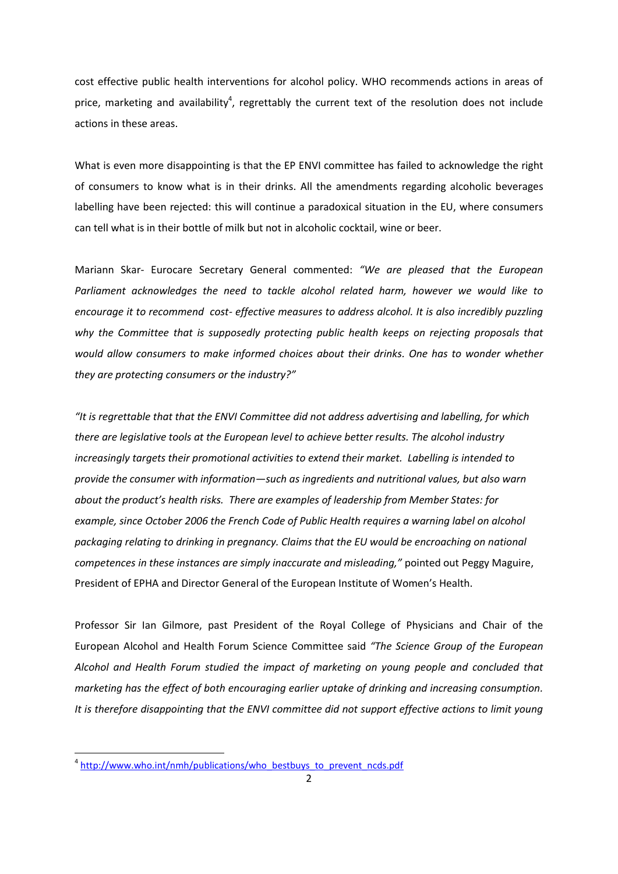cost effective public health interventions for alcohol policy. WHO recommends actions in areas of price, marketing and availability<sup>4</sup>, regrettably the current text of the resolution does not include actions in these areas.

What is even more disappointing is that the EP ENVI committee has failed to acknowledge the right of consumers to know what is in their drinks. All the amendments regarding alcoholic beverages labelling have been rejected: this will continue a paradoxical situation in the EU, where consumers can tell what is in their bottle of milk but not in alcoholic cocktail, wine or beer.

Mariann Skar- Eurocare Secretary General commented: *"We are pleased that the European Parliament acknowledges the need to tackle alcohol related harm, however we would like to encourage it to recommend cost- effective measures to address alcohol. It is also incredibly puzzling why the Committee that is supposedly protecting public health keeps on rejecting proposals that would allow consumers to make informed choices about their drinks. One has to wonder whether they are protecting consumers or the industry?"*

*"It is regrettable that that the ENVI Committee did not address advertising and labelling, for which there are legislative tools at the European level to achieve better results. The alcohol industry increasingly targets their promotional activities to extend their market. Labelling is intended to provide the consumer with information—such as ingredients and nutritional values, but also warn about the product's health risks. There are examples of leadership from Member States: for example, since October 2006 the French Code of Public Health requires a warning label on alcohol packaging relating to drinking in pregnancy. Claims that the EU would be encroaching on national competences in these instances are simply inaccurate and misleading,"* pointed out Peggy Maguire, President of EPHA and Director General of the European Institute of Women's Health.

Professor Sir Ian Gilmore, past President of the Royal College of Physicians and Chair of the European Alcohol and Health Forum Science Committee said *"The Science Group of the European Alcohol and Health Forum studied the impact of marketing on young people and concluded that marketing has the effect of both encouraging earlier uptake of drinking and increasing consumption. It is therefore disappointing that the ENVI committee did not support effective actions to limit young* 

**.** 

<sup>&</sup>lt;sup>4</sup> [http://www.who.int/nmh/publications/who\\_bestbuys\\_to\\_prevent\\_ncds.pdf](http://www.who.int/nmh/publications/who_bestbuys_to_prevent_ncds.pdf)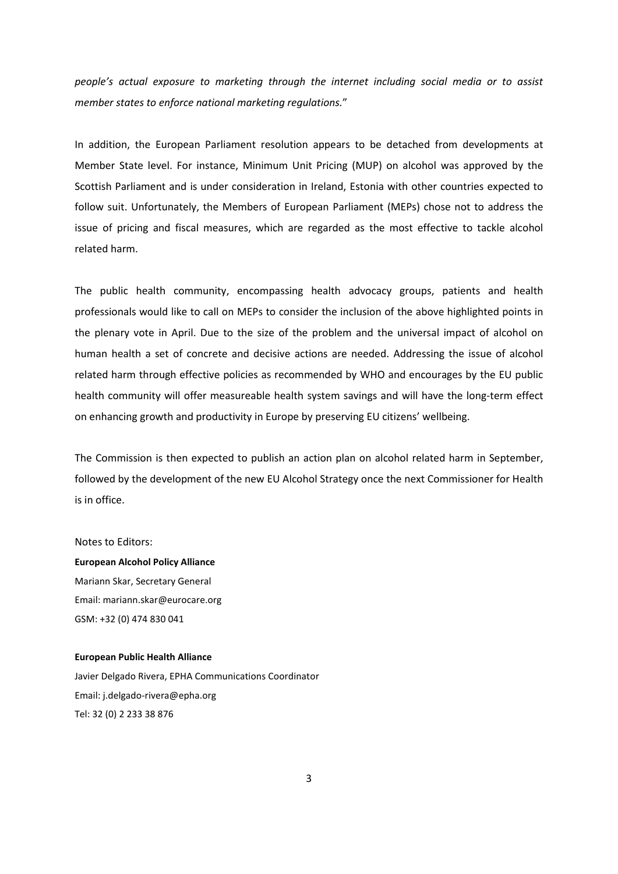*people's actual exposure to marketing through the internet including social media or to assist member states to enforce national marketing regulations.*"

In addition, the European Parliament resolution appears to be detached from developments at Member State level. For instance, Minimum Unit Pricing (MUP) on alcohol was approved by the Scottish Parliament and is under consideration in Ireland, Estonia with other countries expected to follow suit. Unfortunately, the Members of European Parliament (MEPs) chose not to address the issue of pricing and fiscal measures, which are regarded as the most effective to tackle alcohol related harm.

The public health community, encompassing health advocacy groups, patients and health professionals would like to call on MEPs to consider the inclusion of the above highlighted points in the plenary vote in April. Due to the size of the problem and the universal impact of alcohol on human health a set of concrete and decisive actions are needed. Addressing the issue of alcohol related harm through effective policies as recommended by WHO and encourages by the EU public health community will offer measureable health system savings and will have the long-term effect on enhancing growth and productivity in Europe by preserving EU citizens' wellbeing.

The Commission is then expected to publish an action plan on alcohol related harm in September, followed by the development of the new EU Alcohol Strategy once the next Commissioner for Health is in office.

Notes to Editors:

**European Alcohol Policy Alliance** Mariann Skar, Secretary General Email: mariann.skar@eurocare.org GSM: +32 (0) 474 830 041

## **European Public Health Alliance**

Javier Delgado Rivera, EPHA Communications Coordinator Email: j.delgado-rivera@epha.org Tel: 32 (0) 2 233 38 876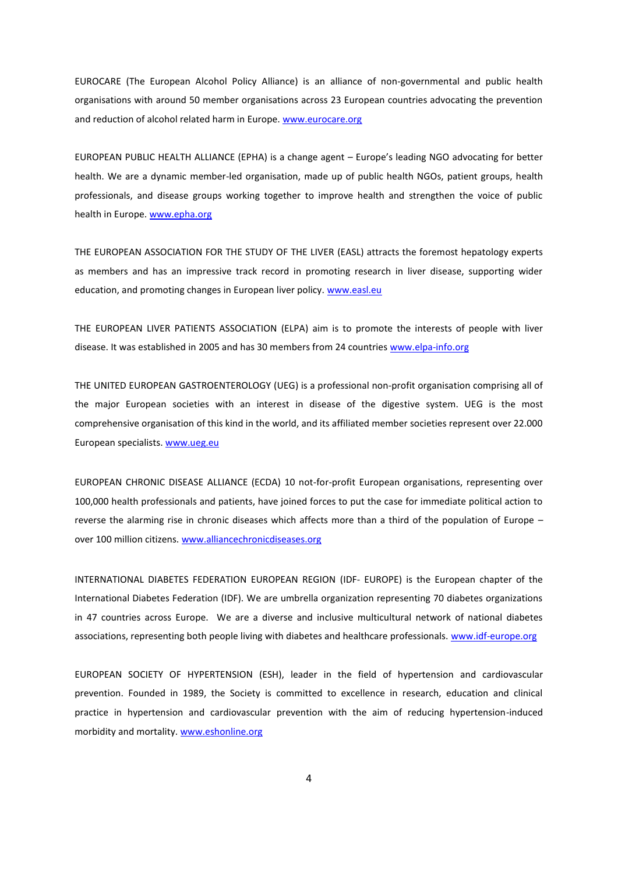EUROCARE (The European Alcohol Policy Alliance) is an alliance of non-governmental and public health organisations with around 50 member organisations across 23 European countries advocating the prevention and reduction of alcohol related harm in Europe. [www.eurocare.org](file:///C:/Users/Aleksandra/Desktop/www.eurocare.org)

EUROPEAN PUBLIC HEALTH ALLIANCE (EPHA) is a change agent – Europe's leading NGO advocating for better health. We are a dynamic member-led organisation, made up of public health NGOs, patient groups, health professionals, and disease groups working together to improve health and strengthen the voice of public health in Europe. [www.epha.org](file:///C:/Users/Aleksandra/Desktop/www.epha.org)

THE EUROPEAN ASSOCIATION FOR THE STUDY OF THE LIVER (EASL) attracts the foremost hepatology experts as members and has an impressive track record in promoting research in liver disease, supporting wider education, and promoting changes in European liver policy. [www.easl.eu](http://www.easl.eu/)

THE EUROPEAN LIVER PATIENTS ASSOCIATION (ELPA) aim is to promote the interests of people with liver disease. It was established in 2005 and has 30 members from 24 countries [www.elpa-info.org](http://www.elpa-info.org/)

THE UNITED EUROPEAN GASTROENTEROLOGY (UEG) is a professional non-profit organisation comprising all of the major European societies with an interest in disease of the digestive system. UEG is the most comprehensive organisation of this kind in the world, and its affiliated member societies represent over 22.000 European specialists[. www.ueg.eu](http://www.ueg.eu/)

EUROPEAN CHRONIC DISEASE ALLIANCE (ECDA) 10 not-for-profit European organisations, representing over 100,000 health professionals and patients, have joined forces to put the case for immediate political action to reverse the alarming rise in chronic diseases which affects more than a third of the population of Europe – over 100 million citizens. [www.alliancechronicdiseases.org](file://EUROSERVER/Common/European%20Parliament/Working%20on%20Oral%20Question%202013/March%202014/www.alliancechronicdiseases.org)

INTERNATIONAL DIABETES FEDERATION EUROPEAN REGION (IDF- EUROPE) is the European chapter of the International Diabetes Federation (IDF). We are umbrella organization representing 70 diabetes organizations in 47 countries across Europe. We are a diverse and inclusive multicultural network of national diabetes associations, representing both people living with diabetes and healthcare professionals. [www.idf-europe.org](file:///C:/Users/Aleksandra/Desktop/www.idf-europe.org)

EUROPEAN SOCIETY OF HYPERTENSION (ESH), leader in the field of hypertension and cardiovascular prevention. Founded in 1989, the Society is committed to excellence in research, education and clinical practice in hypertension and cardiovascular prevention with the aim of reducing hypertension-induced morbidity and mortality. [www.eshonline.org](file://EUROSERVER/Common/European%20Parliament/Working%20on%20Oral%20Question%202013/March%202014/www.eshonline.org)